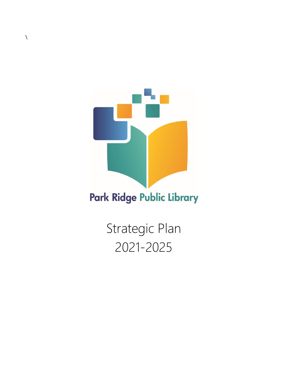

Strategic Plan 2021-2025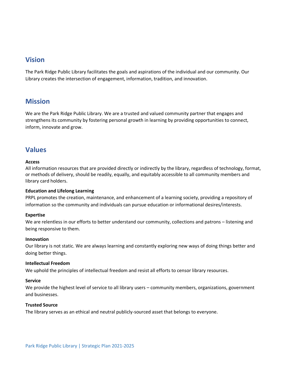### **Vision**

The Park Ridge Public Library facilitates the goals and aspirations of the individual and our community. Our Library creates the intersection of engagement, information, tradition, and innovation.

## **Mission**

We are the Park Ridge Public Library. We are a trusted and valued community partner that engages and strengthens its community by fostering personal growth in learning by providing opportunities to connect, inform, innovate and grow.

## **Values**

#### **Access**

All information resources that are provided directly or indirectly by the library, regardless of technology, format, or methods of delivery, should be readily, equally, and equitably accessible to all community members and library card holders.

#### **Education and Lifelong Learning**

PRPL promotes the creation, maintenance, and enhancement of a learning society, providing a repository of information so the community and individuals can pursue education or informational desires/interests.

#### **Expertise**

We are relentless in our efforts to better understand our community, collections and patrons – listening and being responsive to them.

#### **Innovation**

Our library is not static. We are always learning and constantly exploring new ways of doing things better and doing better things.

#### **Intellectual Freedom**

We uphold the principles of intellectual freedom and resist all efforts to censor library resources.

#### **Service**

We provide the highest level of service to all library users – community members, organizations, government and businesses.

### **Trusted Source**

The library serves as an ethical and neutral publicly-sourced asset that belongs to everyone.